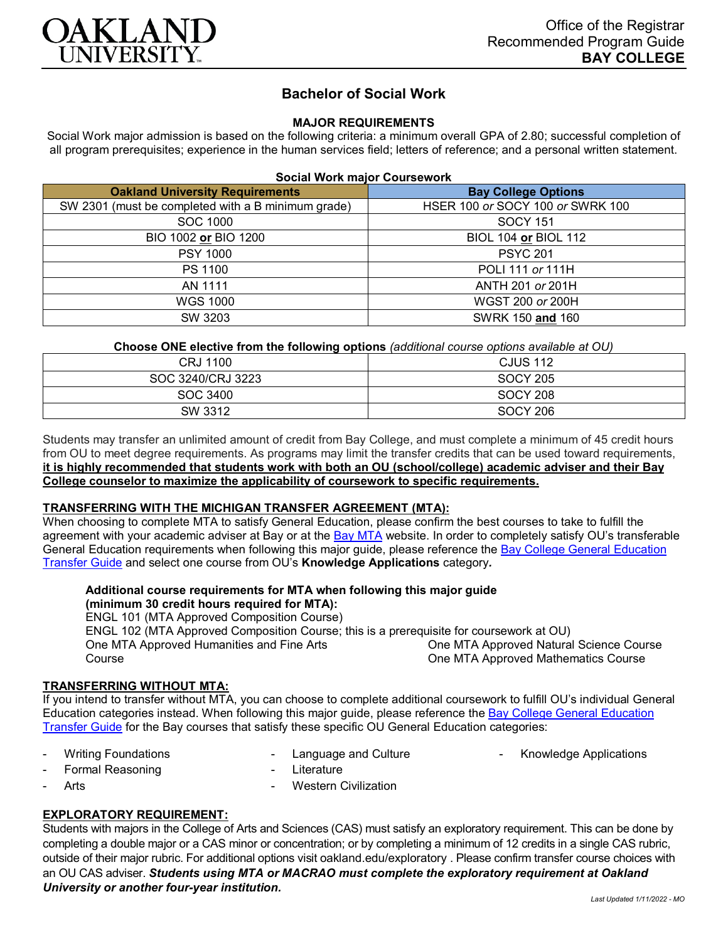

# **Bachelor of Social Work**

## **MAJOR REQUIREMENTS**

Social Work major admission is based on the following criteria: a minimum overall GPA of 2.80; successful completion of all program prerequisites; experience in the human services field; letters of reference; and a personal written statement.

#### **Social Work major Coursework**

| <b>Oakland University Requirements</b>             | <b>Bay College Options</b>       |
|----------------------------------------------------|----------------------------------|
| SW 2301 (must be completed with a B minimum grade) | HSER 100 or SOCY 100 or SWRK 100 |
| SOC 1000                                           | <b>SOCY 151</b>                  |
| BIO 1002 or BIO 1200                               | BIOL 104 or BIOL 112             |
| <b>PSY 1000</b>                                    | <b>PSYC 201</b>                  |
| PS 1100                                            | POLI 111 or 111H                 |
| AN 1111                                            | ANTH 201 or 201H                 |
| <b>WGS 1000</b>                                    | WGST 200 or 200H                 |
| SW 3203                                            | SWRK 150 and 160                 |

**Choose ONE elective from the following options** *(additional course options available at OU)*

| CRJ 1100          | <b>CJUS 112</b> |
|-------------------|-----------------|
| SOC 3240/CRJ 3223 | <b>SOCY 205</b> |
| SOC 3400          | <b>SOCY 208</b> |
| SW 3312           | <b>SOCY 206</b> |

Students may transfer an unlimited amount of credit from Bay College, and must complete a minimum of 45 credit hours from OU to meet degree requirements. As programs may limit the transfer credits that can be used toward requirements, **it is highly recommended that students work with both an OU (school/college) academic adviser and their Bay College counselor to maximize the applicability of coursework to specific requirements.**

### **TRANSFERRING WITH THE MICHIGAN TRANSFER AGREEMENT (MTA):**

When choosing to complete MTA to satisfy General Education, please confirm the best courses to take to fulfill the agreement with your academic adviser at Bay or at the [Bay MTA](https://www.baycollege.edu/admissions/transfer/transfer-agreements.php) website. In order to completely satisfy OU's transferable General Education requirements when following this major guide, please reference the [Bay College General Education](https://www.oakland.edu/Assets/Oakland/program-guides/bay-college/university-general-education-requirements/Bay%20Gen%20Ed.pdf)  [Transfer Guide](https://www.oakland.edu/Assets/Oakland/program-guides/bay-college/university-general-education-requirements/Bay%20Gen%20Ed.pdf) and select one course from OU's **Knowledge Applications** category*.*

#### **Additional course requirements for MTA when following this major guide (minimum 30 credit hours required for MTA):**

ENGL 101 (MTA Approved Composition Course) ENGL 102 (MTA Approved Composition Course; this is a prerequisite for coursework at OU) One MTA Approved Humanities and Fine Arts Course One MTA Approved Natural Science Course One MTA Approved Mathematics Course

# **TRANSFERRING WITHOUT MTA:**

If you intend to transfer without MTA, you can choose to complete additional coursework to fulfill OU's individual General Education categories instead. When following this major guide, please reference the [Bay College General Education](https://www.oakland.edu/Assets/Oakland/program-guides/bay-college/university-general-education-requirements/Bay%20Gen%20Ed.pdf)  [Transfer Guide](https://www.oakland.edu/Assets/Oakland/program-guides/bay-college/university-general-education-requirements/Bay%20Gen%20Ed.pdf) for the Bay courses that satisfy these specific OU General Education categories:

Writing Foundations

- Language and Culture
- Knowledge Applications

Formal Reasoning

- **Literature**
- **Arts**
- Western Civilization

# **EXPLORATORY REQUIREMENT:**

Students with majors in the College of Arts and Sciences (CAS) must satisfy an exploratory requirement. This can be done by completing a double major or a CAS minor or concentration; or by completing a minimum of 12 credits in a single CAS rubric, outside of their major rubric. For additional options visit [oakland.edu/exploratory](http://www.oakland.edu/exploratory) . Please confirm transfer course choices with an OU CAS adviser. *Students using MTA or MACRAO must complete the exploratory requirement at Oakland University or another four-year institution.*